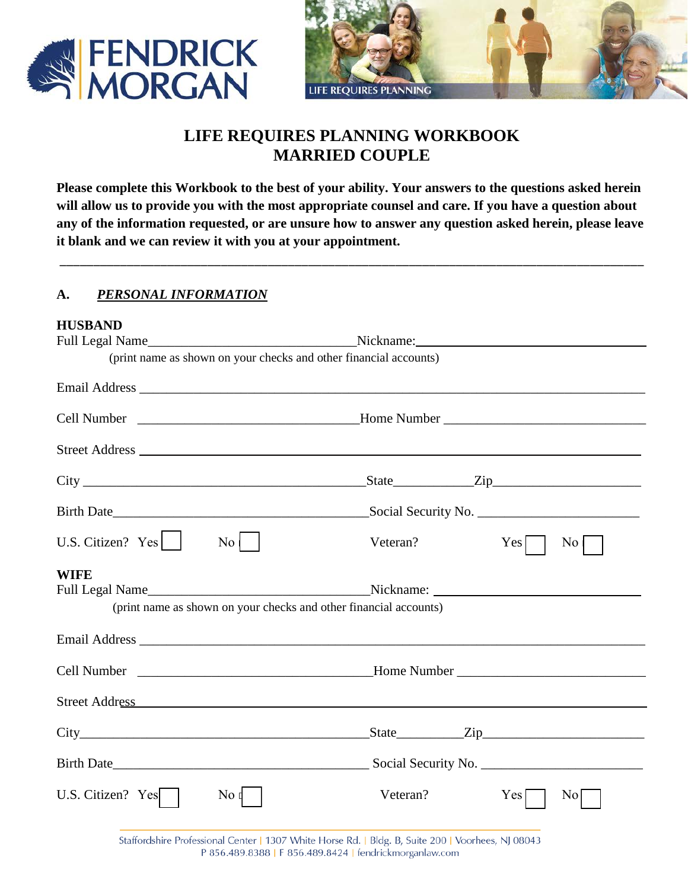



# **LIFE REQUIRES PLANNING WORKBOOK MARRIED COUPLE**

**Please complete this Workbook to the best of your ability. Your answers to the questions asked herein will allow us to provide you with the most appropriate counsel and care. If you have a question about any of the information requested, or are unsure how to answer any question asked herein, please leave it blank and we can review it with you at your appointment.** 

\_\_\_\_\_\_\_\_\_\_\_\_\_\_\_\_\_\_\_\_\_\_\_\_\_\_\_\_\_\_\_\_\_\_\_\_\_\_\_\_\_\_\_\_\_\_\_\_\_\_\_\_\_\_\_\_\_\_\_\_\_\_\_\_\_\_\_\_\_\_\_\_\_\_\_\_\_\_\_\_\_\_\_\_\_\_\_

### **A.** *PERSONAL INFORMATION*

| <b>HUSBAND</b>                                                                                                                                                                                                                 |                  |                                                                   |                                                                                   |
|--------------------------------------------------------------------------------------------------------------------------------------------------------------------------------------------------------------------------------|------------------|-------------------------------------------------------------------|-----------------------------------------------------------------------------------|
|                                                                                                                                                                                                                                |                  |                                                                   |                                                                                   |
|                                                                                                                                                                                                                                |                  | (print name as shown on your checks and other financial accounts) |                                                                                   |
|                                                                                                                                                                                                                                |                  |                                                                   |                                                                                   |
|                                                                                                                                                                                                                                |                  |                                                                   | Cell Number ___________________________________Home Number ______________________ |
|                                                                                                                                                                                                                                |                  |                                                                   |                                                                                   |
|                                                                                                                                                                                                                                |                  |                                                                   |                                                                                   |
|                                                                                                                                                                                                                                |                  |                                                                   |                                                                                   |
| U.S. Citizen? $Yes$                                                                                                                                                                                                            | $\overline{N_0}$ | Veteran?                                                          | Yes<br>$\overline{N}$ o                                                           |
| <b>WIFE</b>                                                                                                                                                                                                                    |                  |                                                                   |                                                                                   |
|                                                                                                                                                                                                                                |                  | (print name as shown on your checks and other financial accounts) |                                                                                   |
|                                                                                                                                                                                                                                |                  |                                                                   |                                                                                   |
|                                                                                                                                                                                                                                |                  |                                                                   |                                                                                   |
| Street Address and the contract of the contract of the contract of the contract of the contract of the contract of the contract of the contract of the contract of the contract of the contract of the contract of the contrac |                  |                                                                   |                                                                                   |
|                                                                                                                                                                                                                                |                  |                                                                   |                                                                                   |
|                                                                                                                                                                                                                                |                  |                                                                   |                                                                                   |
| U.S. Citizen? $Yes$                                                                                                                                                                                                            | $\overline{N}$ o | Veteran?                                                          | $Yes \Box$<br>No                                                                  |

Staffordshire Professional Center | 1307 White Horse Rd. | Bldg. B, Suite 200 | Voorhees, NJ 08043 P 856.489.8388 | F 856.489.8424 | fendrickmorganlaw.com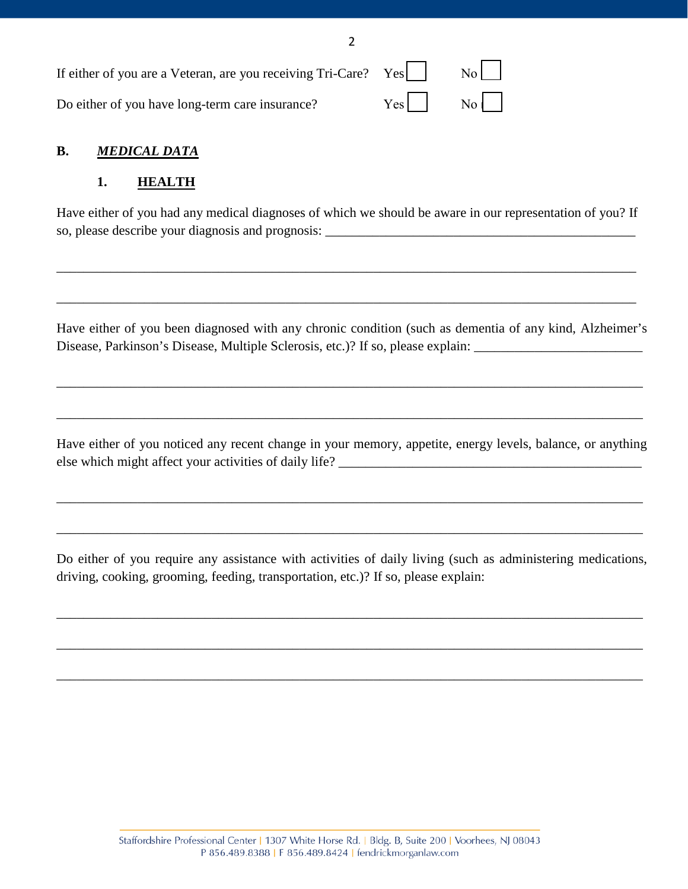| Do either of you have long-term care insurance? |  |
|-------------------------------------------------|--|

# **B.** *MEDICAL DATA*

# **1. HEALTH**

Have either of you had any medical diagnoses of which we should be aware in our representation of you? If so, please describe your diagnosis and prognosis:

\_\_\_\_\_\_\_\_\_\_\_\_\_\_\_\_\_\_\_\_\_\_\_\_\_\_\_\_\_\_\_\_\_\_\_\_\_\_\_\_\_\_\_\_\_\_\_\_\_\_\_\_\_\_\_\_\_\_\_\_\_\_\_\_\_\_\_\_\_\_\_\_\_\_\_\_\_\_\_\_\_\_\_\_\_\_

\_\_\_\_\_\_\_\_\_\_\_\_\_\_\_\_\_\_\_\_\_\_\_\_\_\_\_\_\_\_\_\_\_\_\_\_\_\_\_\_\_\_\_\_\_\_\_\_\_\_\_\_\_\_\_\_\_\_\_\_\_\_\_\_\_\_\_\_\_\_\_\_\_\_\_\_\_\_\_\_\_\_\_\_\_\_

2

Have either of you been diagnosed with any chronic condition (such as dementia of any kind, Alzheimer's Disease, Parkinson's Disease, Multiple Sclerosis, etc.)? If so, please explain:

\_\_\_\_\_\_\_\_\_\_\_\_\_\_\_\_\_\_\_\_\_\_\_\_\_\_\_\_\_\_\_\_\_\_\_\_\_\_\_\_\_\_\_\_\_\_\_\_\_\_\_\_\_\_\_\_\_\_\_\_\_\_\_\_\_\_\_\_\_\_\_\_\_\_\_\_\_\_\_\_\_\_\_\_\_\_\_

\_\_\_\_\_\_\_\_\_\_\_\_\_\_\_\_\_\_\_\_\_\_\_\_\_\_\_\_\_\_\_\_\_\_\_\_\_\_\_\_\_\_\_\_\_\_\_\_\_\_\_\_\_\_\_\_\_\_\_\_\_\_\_\_\_\_\_\_\_\_\_\_\_\_\_\_\_\_\_\_\_\_\_\_\_\_\_

Have either of you noticed any recent change in your memory, appetite, energy levels, balance, or anything else which might affect your activities of daily life? \_\_\_\_\_\_\_\_\_\_\_\_\_\_\_\_\_\_\_\_\_\_\_\_\_\_

\_\_\_\_\_\_\_\_\_\_\_\_\_\_\_\_\_\_\_\_\_\_\_\_\_\_\_\_\_\_\_\_\_\_\_\_\_\_\_\_\_\_\_\_\_\_\_\_\_\_\_\_\_\_\_\_\_\_\_\_\_\_\_\_\_\_\_\_\_\_\_\_\_\_\_\_\_\_\_\_\_\_\_\_\_\_\_

\_\_\_\_\_\_\_\_\_\_\_\_\_\_\_\_\_\_\_\_\_\_\_\_\_\_\_\_\_\_\_\_\_\_\_\_\_\_\_\_\_\_\_\_\_\_\_\_\_\_\_\_\_\_\_\_\_\_\_\_\_\_\_\_\_\_\_\_\_\_\_\_\_\_\_\_\_\_\_\_\_\_\_\_\_\_\_

Do either of you require any assistance with activities of daily living (such as administering medications, driving, cooking, grooming, feeding, transportation, etc.)? If so, please explain:

\_\_\_\_\_\_\_\_\_\_\_\_\_\_\_\_\_\_\_\_\_\_\_\_\_\_\_\_\_\_\_\_\_\_\_\_\_\_\_\_\_\_\_\_\_\_\_\_\_\_\_\_\_\_\_\_\_\_\_\_\_\_\_\_\_\_\_\_\_\_\_\_\_\_\_\_\_\_\_\_\_\_\_\_\_\_\_

\_\_\_\_\_\_\_\_\_\_\_\_\_\_\_\_\_\_\_\_\_\_\_\_\_\_\_\_\_\_\_\_\_\_\_\_\_\_\_\_\_\_\_\_\_\_\_\_\_\_\_\_\_\_\_\_\_\_\_\_\_\_\_\_\_\_\_\_\_\_\_\_\_\_\_\_\_\_\_\_\_\_\_\_\_\_\_

\_\_\_\_\_\_\_\_\_\_\_\_\_\_\_\_\_\_\_\_\_\_\_\_\_\_\_\_\_\_\_\_\_\_\_\_\_\_\_\_\_\_\_\_\_\_\_\_\_\_\_\_\_\_\_\_\_\_\_\_\_\_\_\_\_\_\_\_\_\_\_\_\_\_\_\_\_\_\_\_\_\_\_\_\_\_\_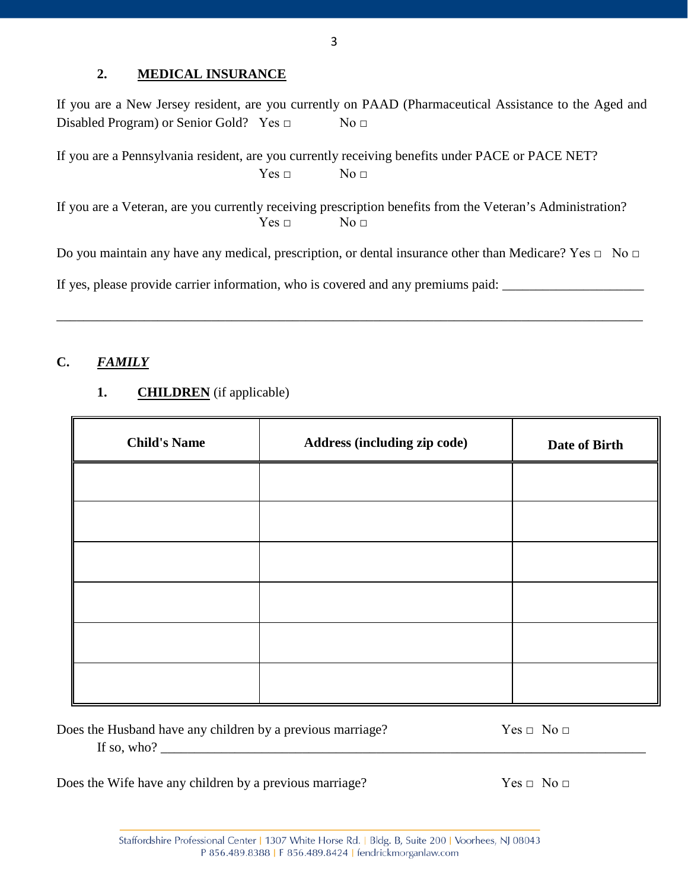### **2. MEDICAL INSURANCE**

If you are a New Jersey resident, are you currently on PAAD (Pharmaceutical Assistance to the Aged and Disabled Program) or Senior Gold? Yes □ No □

If you are a Pennsylvania resident, are you currently receiving benefits under PACE or PACE NET?  $Yes \Box$  No  $\Box$ 

If you are a Veteran, are you currently receiving prescription benefits from the Veteran's Administration?  $Yes \Box$  No  $\Box$ 

Do you maintain any have any medical, prescription, or dental insurance other than Medicare? Yes □ No □

\_\_\_\_\_\_\_\_\_\_\_\_\_\_\_\_\_\_\_\_\_\_\_\_\_\_\_\_\_\_\_\_\_\_\_\_\_\_\_\_\_\_\_\_\_\_\_\_\_\_\_\_\_\_\_\_\_\_\_\_\_\_\_\_\_\_\_\_\_\_\_\_\_\_\_\_\_\_\_\_\_\_\_\_\_\_\_

If yes, please provide carrier information, who is covered and any premiums paid: \_\_\_\_\_\_\_\_\_\_\_\_\_\_\_\_\_\_\_\_\_\_\_\_\_\_\_\_

# **C.** *FAMILY*

# **1. CHILDREN** (if applicable)

| <b>Child's Name</b> | Address (including zip code) | Date of Birth |
|---------------------|------------------------------|---------------|
|                     |                              |               |
|                     |                              |               |
|                     |                              |               |
|                     |                              |               |
|                     |                              |               |
|                     |                              |               |

Does the Husband have any children by a previous marriage?  $Yes \Box No \Box$ 

If so, who?

Does the Wife have any children by a previous marriage?  $Yes \Box No \Box$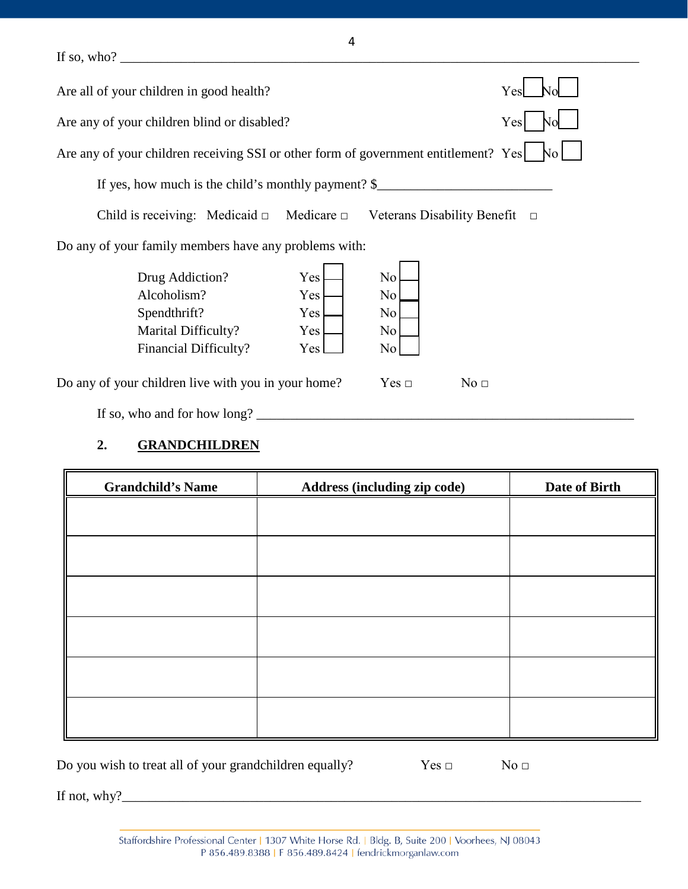If so, who? \_\_\_\_\_\_\_\_\_\_\_\_\_\_\_\_\_\_\_\_\_\_\_\_\_\_\_\_\_\_\_\_\_\_\_\_\_\_\_\_\_\_\_\_\_\_\_\_\_\_\_\_\_\_\_\_\_\_\_\_\_\_\_\_\_\_\_\_\_\_\_\_\_\_\_\_\_

| Are all of your children in good health?                                                       |                                 |                             | Yes             |
|------------------------------------------------------------------------------------------------|---------------------------------|-----------------------------|-----------------|
| Are any of your children blind or disabled?                                                    |                                 |                             | Yes             |
| Are any of your children receiving SSI or other form of government entitlement? Yes            |                                 |                             |                 |
| If yes, how much is the child's monthly payment? $\S$                                          |                                 |                             |                 |
| Child is receiving: Medicaid $\Box$                                                            | Medicare $\Box$                 | Veterans Disability Benefit | $\Box$          |
| Do any of your family members have any problems with:                                          |                                 |                             |                 |
| Drug Addiction?<br>Alcoholism?<br>Spendthrift?<br>Marital Difficulty?<br>Financial Difficulty? | Yes<br>Yes<br>Yes<br>Yes<br>Yes | No<br>No.<br>No<br>No<br>No |                 |
| Do any of your children live with you in your home?                                            |                                 | Yes ⊡                       | No <sub>□</sub> |
| If so, who and for how long?                                                                   |                                 |                             |                 |

# **2. GRANDCHILDREN**

| <b>Grandchild's Name</b> | <b>Address (including zip code)</b> | Date of Birth |
|--------------------------|-------------------------------------|---------------|
|                          |                                     |               |
|                          |                                     |               |
|                          |                                     |               |
|                          |                                     |               |
|                          |                                     |               |
|                          |                                     |               |
|                          |                                     |               |
|                          |                                     |               |
|                          |                                     |               |
|                          |                                     |               |

Do you wish to treat all of your grandchildren equally? Yes □ No □

If not, why?\_\_\_\_\_\_\_\_\_\_\_\_\_\_\_\_\_\_\_\_\_\_\_\_\_\_\_\_\_\_\_\_\_\_\_\_\_\_\_\_\_\_\_\_\_\_\_\_\_\_\_\_\_\_\_\_\_\_\_\_\_\_\_\_\_\_\_\_\_\_\_\_\_\_\_\_\_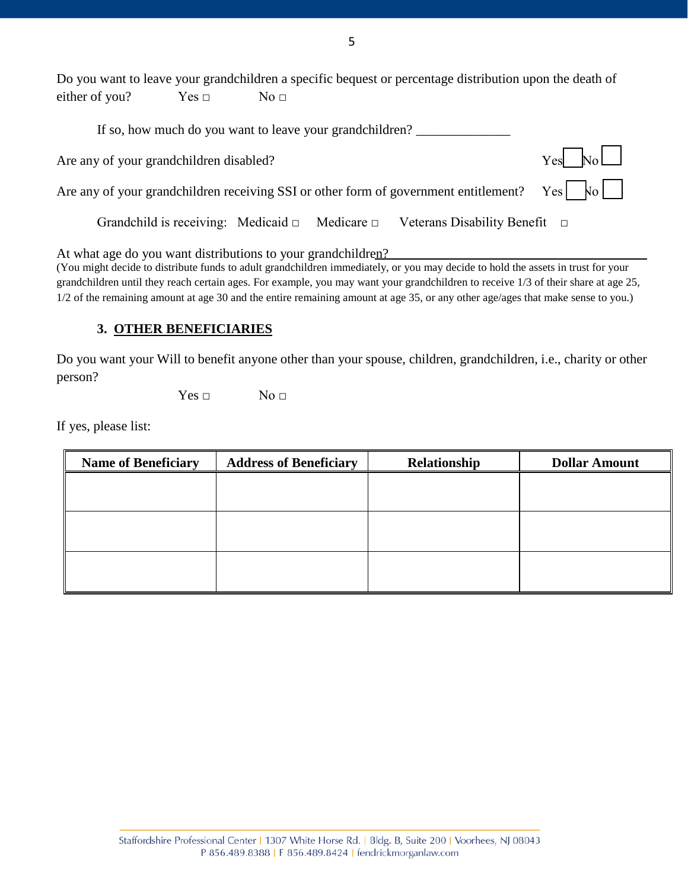Do you want to leave your grandchildren a specific bequest or percentage distribution upon the death of either of you? Yes  $\Box$  No  $\Box$ 

| If so, how much do you want to leave your grandchildren?                                         |          |
|--------------------------------------------------------------------------------------------------|----------|
| Are any of your grandchildren disabled?                                                          | $Yes$ No |
| Are any of your grandchildren receiving SSI or other form of government entitlement? Yes $ N_0 $ |          |
| Grandchild is receiving: Medicaid $\Box$ Medicare $\Box$ Veterans Disability Benefit $\Box$      |          |

At what age do you want distributions to your grandchildren?

(You might decide to distribute funds to adult grandchildren immediately, or you may decide to hold the assets in trust for your grandchildren until they reach certain ages. For example, you may want your grandchildren to receive 1/3 of their share at age 25, 1/2 of the remaining amount at age 30 and the entire remaining amount at age 35, or any other age/ages that make sense to you.)

#### **3. OTHER BENEFICIARIES**

Do you want your Will to benefit anyone other than your spouse, children, grandchildren, i.e., charity or other person?

 $Yes \Box$  No  $\Box$ 

If yes, please list:

| <b>Name of Beneficiary</b> | <b>Address of Beneficiary</b> | Relationship | <b>Dollar Amount</b> |
|----------------------------|-------------------------------|--------------|----------------------|
|                            |                               |              |                      |
|                            |                               |              |                      |
|                            |                               |              |                      |
|                            |                               |              |                      |
|                            |                               |              |                      |
|                            |                               |              |                      |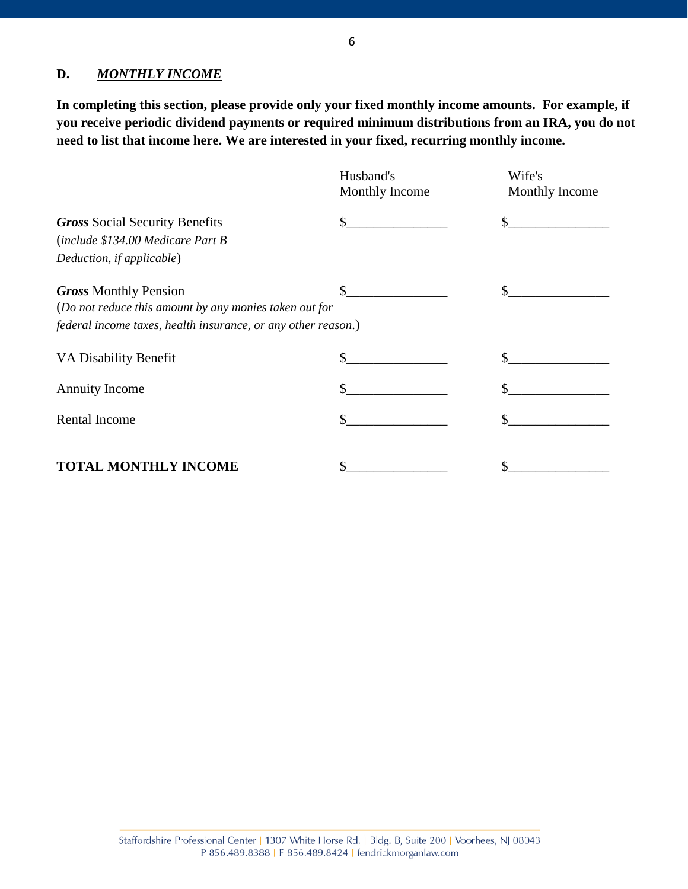# **D.** *MONTHLY INCOME*

**In completing this section, please provide only your fixed monthly income amounts. For example, if you receive periodic dividend payments or required minimum distributions from an IRA, you do not need to list that income here. We are interested in your fixed, recurring monthly income.**

|                                                               | Husband's<br>Monthly Income | Wife's<br>Monthly Income |
|---------------------------------------------------------------|-----------------------------|--------------------------|
| <b>Gross Social Security Benefits</b>                         | $\mathbb{S}$                |                          |
| (include \$134.00 Medicare Part B                             |                             |                          |
| Deduction, if applicable)                                     |                             |                          |
| <b>Gross Monthly Pension</b>                                  | \$                          |                          |
| (Do not reduce this amount by any monies taken out for        |                             |                          |
| federal income taxes, health insurance, or any other reason.) |                             |                          |
| VA Disability Benefit                                         | \$                          |                          |
| <b>Annuity Income</b>                                         | \$                          |                          |
| Rental Income                                                 |                             |                          |
| TOTAL MONTHLY INCOME                                          |                             |                          |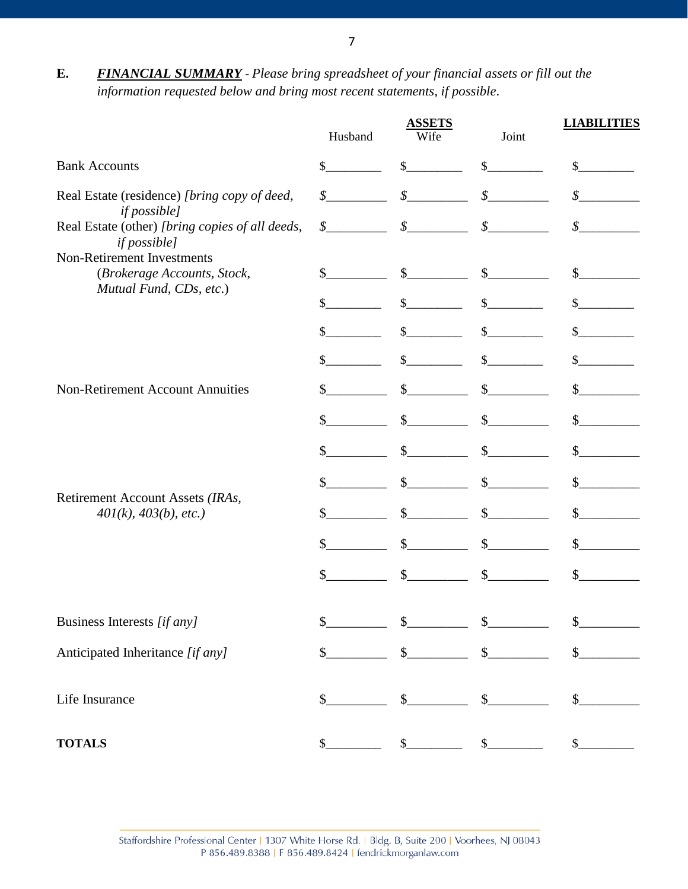**E.** *FINANCIAL SUMMARY* - *Please bring spreadsheet of your financial assets or fill out the information requested below and bring most recent statements, if possible*.

|                                                                                      | Husband                    | <b>ASSETS</b><br>Wife       | Joint             | <b>LIABILITIES</b>         |
|--------------------------------------------------------------------------------------|----------------------------|-----------------------------|-------------------|----------------------------|
| <b>Bank Accounts</b>                                                                 | \$                         | $\mathbb{S}$                | $\mathbb{S}$      | $\mathbb{S}$               |
| Real Estate (residence) [bring copy of deed,<br><i>if possible]</i>                  | $\oint$                    | $\boldsymbol{\mathcal{S}}$  | $\mathcal{S}_{-}$ | \$                         |
| Real Estate (other) [bring copies of all deeds,<br><i>if possible]</i>               | $\boldsymbol{\mathcal{S}}$ | $\mathcal{S}$               | $\mathcal{S}$     | $\boldsymbol{\mathcal{S}}$ |
| Non-Retirement Investments<br>(Brokerage Accounts, Stock,<br>Mutual Fund, CDs, etc.) | $\mathbb{S}$               | $\mathcal{S}$               | $\mathbb{S}$      | $\mathbb{S}$               |
|                                                                                      | $\mathcal{S}$              | $\mathcal{S}$               | $\mathbb{S}$      | \$                         |
|                                                                                      | \$                         | $\mathcal{S}$               |                   |                            |
|                                                                                      | \$                         | \$                          | \$                |                            |
| <b>Non-Retirement Account Annuities</b>                                              |                            | $\mathcal{S}$               | $\mathcal{S}$     | $\mathbb{S}$               |
|                                                                                      | \$                         | $\mathbb{S}$                | $\mathbb{S}$      | $\mathbb{S}$               |
|                                                                                      | \$                         | $\mathbb{S}$                | $\mathbb{S}$      | $\mathbb{S}$               |
|                                                                                      | $\mathbb{S}$               | $\mathcal{S}$               | $\mathcal{S}$     | $\mathcal{S}$              |
| Retirement Account Assets (IRAs,<br>401(k), 403(b), etc.)                            | \$                         | $\mathbb{S}$                | $\mathbb{S}$      | $\mathbb{S}$               |
|                                                                                      | \$                         | $\mathbb{S}$                | $\mathbb{S}$      | $\mathbb{S}$               |
|                                                                                      | $\mathcal{S}$              | $\mathbb{S}$                | $\mathbb{S}$      | $\mathbb{S}$               |
| Business Interests [if any]                                                          |                            |                             |                   | \$                         |
| Anticipated Inheritance [if any]                                                     | $\mathsf{S}$               | \$                          | $\mathbb{S}$      | $\mathbb{S}$               |
| Life Insurance                                                                       | \$                         | \$                          |                   |                            |
| <b>TOTALS</b>                                                                        | \$                         | $\mathcal{L}_{\mathcal{L}}$ |                   | $\mathbb{S}^-$             |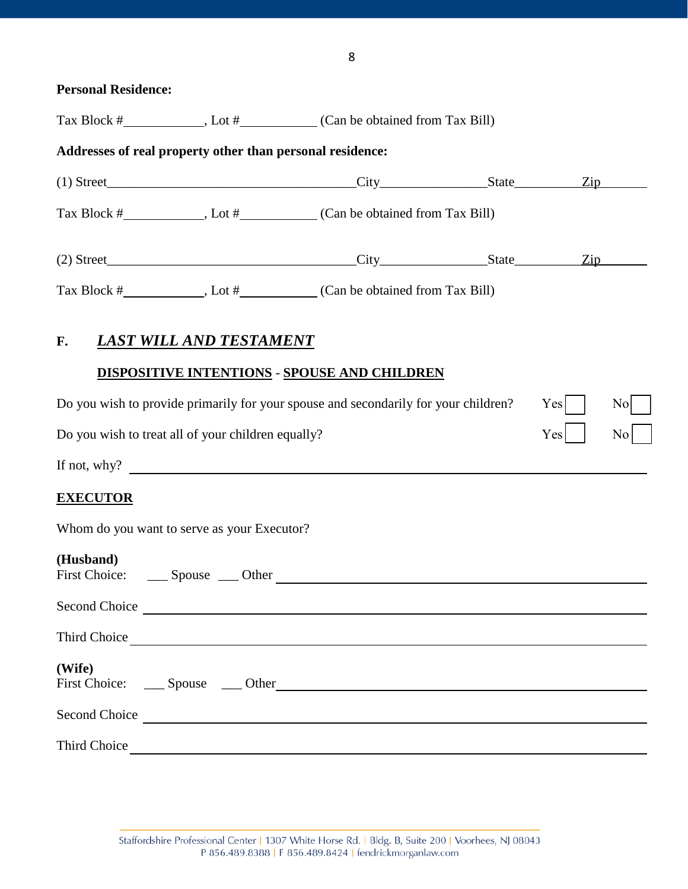| <b>Personal Residence:</b>                                |                                |                                                                                                                                                                                                                                |                         |
|-----------------------------------------------------------|--------------------------------|--------------------------------------------------------------------------------------------------------------------------------------------------------------------------------------------------------------------------------|-------------------------|
|                                                           |                                |                                                                                                                                                                                                                                |                         |
| Addresses of real property other than personal residence: |                                |                                                                                                                                                                                                                                |                         |
|                                                           |                                |                                                                                                                                                                                                                                |                         |
|                                                           |                                |                                                                                                                                                                                                                                |                         |
|                                                           |                                | (2) Street <u>Tip Zip</u>                                                                                                                                                                                                      |                         |
|                                                           |                                |                                                                                                                                                                                                                                |                         |
| F.                                                        | <b>LAST WILL AND TESTAMENT</b> |                                                                                                                                                                                                                                |                         |
|                                                           |                                | <b>DISPOSITIVE INTENTIONS - SPOUSE AND CHILDREN</b>                                                                                                                                                                            |                         |
|                                                           |                                | Do you wish to provide primarily for your spouse and secondarily for your children?                                                                                                                                            | Yes<br>$\overline{N}$ o |
| Do you wish to treat all of your children equally?        |                                |                                                                                                                                                                                                                                | Yes<br>N <sub>o</sub>   |
| If not, why?                                              |                                |                                                                                                                                                                                                                                |                         |
| <b>EXECUTOR</b>                                           |                                |                                                                                                                                                                                                                                |                         |
| Whom do you want to serve as your Executor?               |                                |                                                                                                                                                                                                                                |                         |
| (Husband)                                                 |                                |                                                                                                                                                                                                                                |                         |
|                                                           |                                | Second Choice                                                                                                                                                                                                                  |                         |
|                                                           |                                |                                                                                                                                                                                                                                |                         |
| (Wife)                                                    |                                |                                                                                                                                                                                                                                |                         |
|                                                           |                                | Second Choice Leadership and the contract of the contract of the contract of the contract of the contract of the contract of the contract of the contract of the contract of the contract of the contract of the contract of t |                         |
|                                                           |                                | Third Choice                                                                                                                                                                                                                   |                         |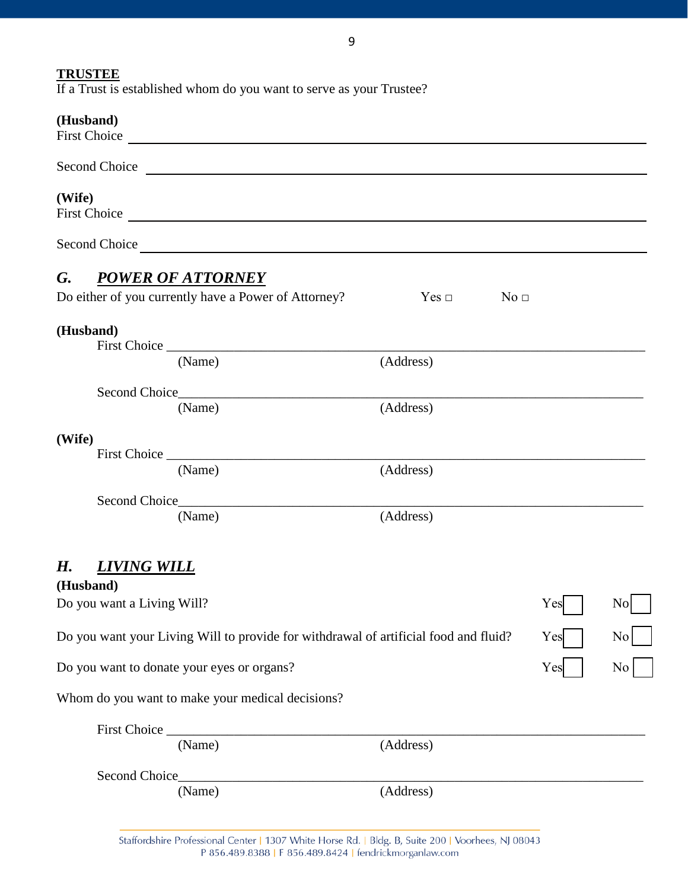# **TRUSTEE**

If a Trust is established whom do you want to serve as your Trustee?

# **(Husband)**

|             | $(1105)$ anu $)$                                                                     |                      |     |    |
|-------------|--------------------------------------------------------------------------------------|----------------------|-----|----|
|             | Second Choice Leadership Charles Changes and Choice                                  |                      |     |    |
| (Wife)      |                                                                                      |                      |     |    |
|             |                                                                                      |                      |     |    |
| $G_{\cdot}$ | <b>POWER OF ATTORNEY</b><br>Do either of you currently have a Power of Attorney?     | $Yes \Box$ No $\Box$ |     |    |
|             | (Husband)                                                                            |                      |     |    |
|             | (Name)                                                                               | (Address)            |     |    |
|             | (Name)                                                                               | (Address)            |     |    |
| (Wife)      |                                                                                      |                      |     |    |
|             | (Name)                                                                               | (Address)            |     |    |
|             | (Name)                                                                               | (Address)            |     |    |
|             |                                                                                      |                      |     |    |
| Н.          | <b>LIVING WILL</b><br>(Husband)                                                      |                      |     |    |
|             | Do you want a Living Will?                                                           |                      | Yes |    |
|             | Do you want your Living Will to provide for withdrawal of artificial food and fluid? |                      | Yes | No |
|             | Do you want to donate your eyes or organs?                                           |                      | Yes | No |
|             | Whom do you want to make your medical decisions?                                     |                      |     |    |
|             |                                                                                      |                      |     |    |
|             | (Name)                                                                               | (Address)            |     |    |
|             | Second Choice_                                                                       |                      |     |    |
|             | (Name)                                                                               | (Address)            |     |    |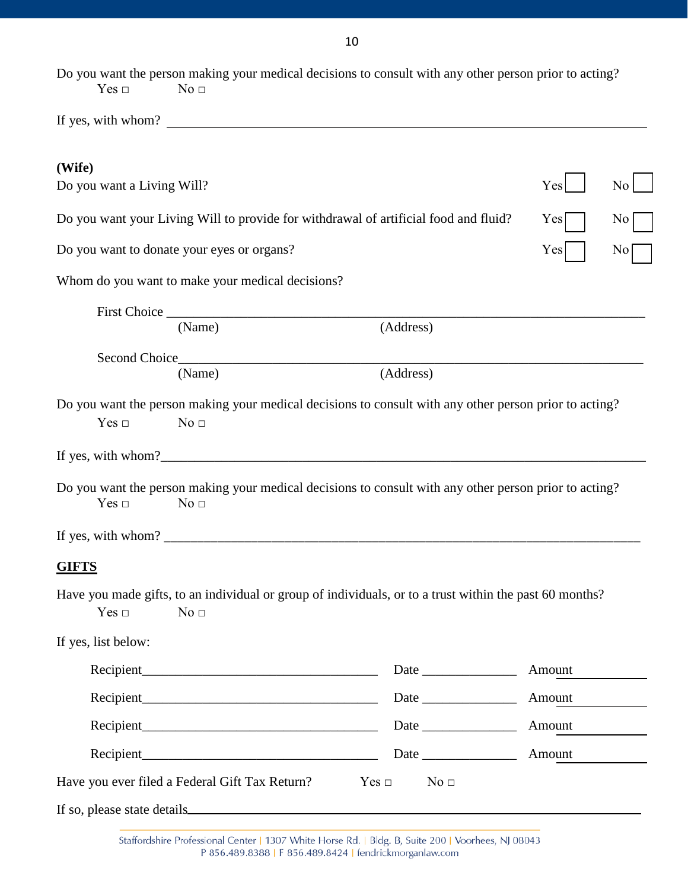| Yes<br>No<br>Do you want your Living Will to provide for withdrawal of artificial food and fluid?<br>$\rm No$<br>Yes<br>Yes<br>No <sub>1</sub><br>(Address)<br>(Address) |
|--------------------------------------------------------------------------------------------------------------------------------------------------------------------------|
|                                                                                                                                                                          |
|                                                                                                                                                                          |
|                                                                                                                                                                          |
|                                                                                                                                                                          |
|                                                                                                                                                                          |
|                                                                                                                                                                          |
|                                                                                                                                                                          |
|                                                                                                                                                                          |
|                                                                                                                                                                          |
| Do you want the person making your medical decisions to consult with any other person prior to acting?                                                                   |
|                                                                                                                                                                          |
|                                                                                                                                                                          |
| Do you want the person making your medical decisions to consult with any other person prior to acting?                                                                   |
|                                                                                                                                                                          |
|                                                                                                                                                                          |
| Have you made gifts, to an individual or group of individuals, or to a trust within the past 60 months?                                                                  |
|                                                                                                                                                                          |
|                                                                                                                                                                          |
| Amount                                                                                                                                                                   |
| Amount                                                                                                                                                                   |
| Amount                                                                                                                                                                   |
|                                                                                                                                                                          |
|                                                                                                                                                                          |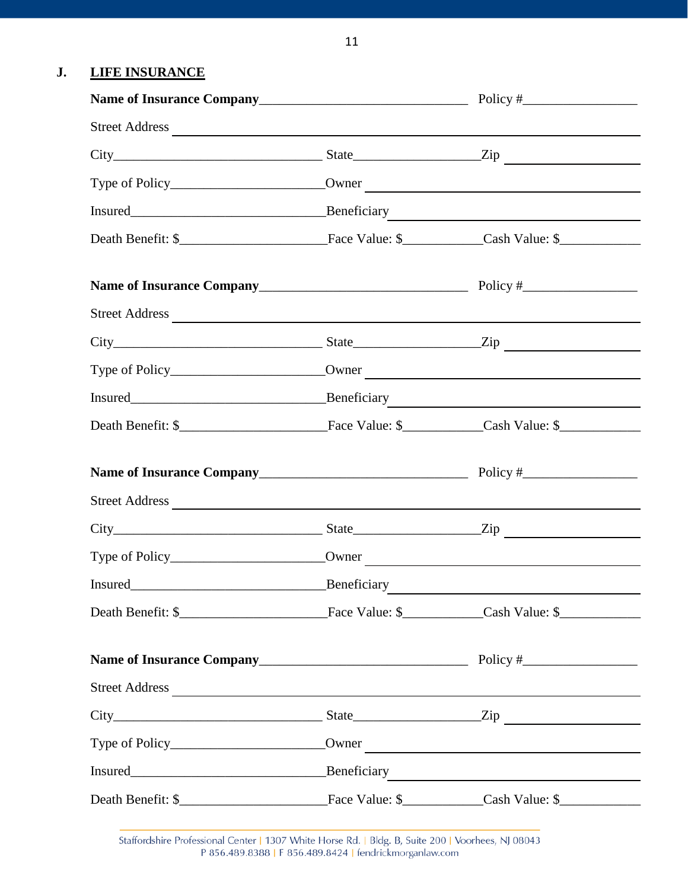# **J. LIFE INSURANCE**

| Street Address |  |
|----------------|--|
|                |  |
|                |  |
|                |  |
|                |  |
|                |  |
| Street Address |  |
|                |  |
|                |  |
|                |  |
|                |  |
|                |  |
| Street Address |  |
|                |  |
|                |  |
|                |  |
|                |  |

Staffordshire Professional Center | 1307 White Horse Rd. | Bldg. B, Suite 200 | Voorhees, NJ 08043 P 856.489.8388 | F 856.489.8424 | fendrickmorganlaw.com